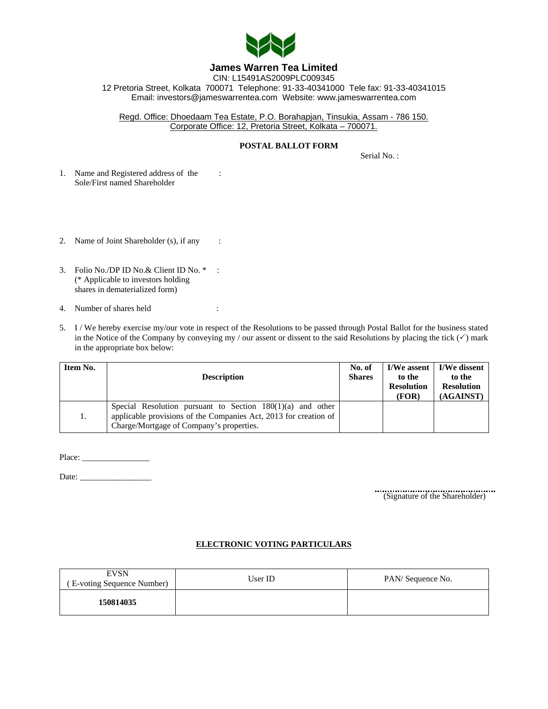

## **James Warren Tea Limited**

CIN: L15491AS2009PLC009345 12 Pretoria Street, Kolkata 700071 Telephone: 91-33-40341000 Tele fax: 91-33-40341015 Email: investors@jameswarrentea.com Website: www.jameswarrentea.com

Regd. Office: Dhoedaam Tea Estate, P.O. Borahapjan, Tinsukia, Assam - 786 150. Corporate Office: 12, Pretoria Street, Kolkata – 700071.

## **POSTAL BALLOT FORM**

Serial No. :

- 1. Name and Registered address of the : Sole/First named Shareholder
- 2. Name of Joint Shareholder (s), if any :
- 3. Folio No./DP ID No.& Client ID No. \* : (\* Applicable to investors holding shares in dematerialized form)
- 4. Number of shares held :
- 5. I / We hereby exercise my/our vote in respect of the Resolutions to be passed through Postal Ballot for the business stated in the Notice of the Company by conveying my / our assent or dissent to the said Resolutions by placing the tick  $(\checkmark)$  mark in the appropriate box below:

| Item No. | <b>Description</b>                                                                                                                                                           | No. of<br><b>Shares</b> | to the<br><b>Resolution</b><br>(FOR) | I/We assent   I/We dissent<br>to the<br><b>Resolution</b><br>(AGAINST) |
|----------|------------------------------------------------------------------------------------------------------------------------------------------------------------------------------|-------------------------|--------------------------------------|------------------------------------------------------------------------|
| 1.       | Special Resolution pursuant to Section $180(1)(a)$ and other<br>applicable provisions of the Companies Act, 2013 for creation of<br>Charge/Mortgage of Company's properties. |                         |                                      |                                                                        |

Place: \_\_\_\_\_\_\_\_\_\_\_\_\_\_\_\_

Date: \_\_\_\_\_\_\_\_\_\_\_\_\_\_\_\_\_

(Signature of the Shareholder)

## **ELECTRONIC VOTING PARTICULARS**

| <b>EVSN</b><br>(E-voting Sequence Number) | User ID | PAN/Sequence No. |
|-------------------------------------------|---------|------------------|
| 150814035                                 |         |                  |